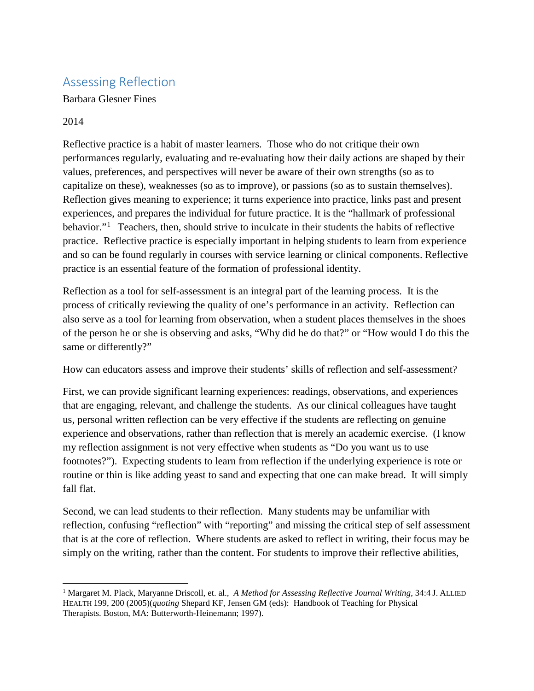## Assessing Reflection

Barbara Glesner Fines

## 2014

l

Reflective practice is a habit of master learners. Those who do not critique their own performances regularly, evaluating and re-evaluating how their daily actions are shaped by their values, preferences, and perspectives will never be aware of their own strengths (so as to capitalize on these), weaknesses (so as to improve), or passions (so as to sustain themselves). Reflection gives meaning to experience; it turns experience into practice, links past and present experiences, and prepares the individual for future practice. It is the "hallmark of professional behavior."<sup>[1](#page-0-0)</sup> Teachers, then, should strive to inculcate in their students the habits of reflective practice. Reflective practice is especially important in helping students to learn from experience and so can be found regularly in courses with service learning or clinical components. Reflective practice is an essential feature of the formation of professional identity.

Reflection as a tool for self-assessment is an integral part of the learning process. It is the process of critically reviewing the quality of one's performance in an activity. Reflection can also serve as a tool for learning from observation, when a student places themselves in the shoes of the person he or she is observing and asks, "Why did he do that?" or "How would I do this the same or differently?"

How can educators assess and improve their students' skills of reflection and self-assessment?

First, we can provide significant learning experiences: readings, observations, and experiences that are engaging, relevant, and challenge the students. As our clinical colleagues have taught us, personal written reflection can be very effective if the students are reflecting on genuine experience and observations, rather than reflection that is merely an academic exercise. (I know my reflection assignment is not very effective when students as "Do you want us to use footnotes?"). Expecting students to learn from reflection if the underlying experience is rote or routine or thin is like adding yeast to sand and expecting that one can make bread. It will simply fall flat.

Second, we can lead students to their reflection. Many students may be unfamiliar with reflection, confusing "reflection" with "reporting" and missing the critical step of self assessment that is at the core of reflection. Where students are asked to reflect in writing, their focus may be simply on the writing, rather than the content. For students to improve their reflective abilities,

<span id="page-0-0"></span><sup>1</sup> Margaret M. Plack, Maryanne Driscoll, et. al., *A Method for Assessing Reflective Journal Writing*, 34:4 J. ALLIED HEALTH 199, 200 (2005)(*quoting* Shepard KF, Jensen GM (eds): Handbook of Teaching for Physical Therapists. Boston, MA: Butterworth-Heinemann; 1997).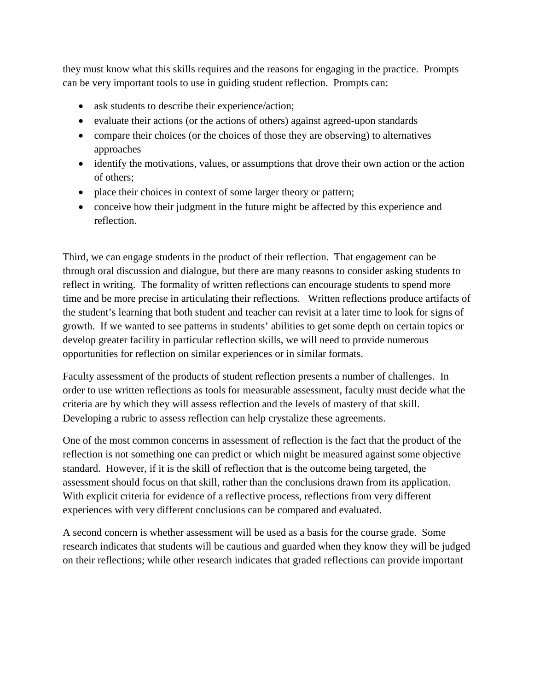they must know what this skills requires and the reasons for engaging in the practice. Prompts can be very important tools to use in guiding student reflection. Prompts can:

- ask students to describe their experience/action;
- evaluate their actions (or the actions of others) against agreed-upon standards
- compare their choices (or the choices of those they are observing) to alternatives approaches
- identify the motivations, values, or assumptions that drove their own action or the action of others;
- place their choices in context of some larger theory or pattern;
- conceive how their judgment in the future might be affected by this experience and reflection.

Third, we can engage students in the product of their reflection. That engagement can be through oral discussion and dialogue, but there are many reasons to consider asking students to reflect in writing. The formality of written reflections can encourage students to spend more time and be more precise in articulating their reflections. Written reflections produce artifacts of the student's learning that both student and teacher can revisit at a later time to look for signs of growth. If we wanted to see patterns in students' abilities to get some depth on certain topics or develop greater facility in particular reflection skills, we will need to provide numerous opportunities for reflection on similar experiences or in similar formats.

Faculty assessment of the products of student reflection presents a number of challenges. In order to use written reflections as tools for measurable assessment, faculty must decide what the criteria are by which they will assess reflection and the levels of mastery of that skill. Developing a rubric to assess reflection can help crystalize these agreements.

One of the most common concerns in assessment of reflection is the fact that the product of the reflection is not something one can predict or which might be measured against some objective standard. However, if it is the skill of reflection that is the outcome being targeted, the assessment should focus on that skill, rather than the conclusions drawn from its application. With explicit criteria for evidence of a reflective process, reflections from very different experiences with very different conclusions can be compared and evaluated.

A second concern is whether assessment will be used as a basis for the course grade. Some research indicates that students will be cautious and guarded when they know they will be judged on their reflections; while other research indicates that graded reflections can provide important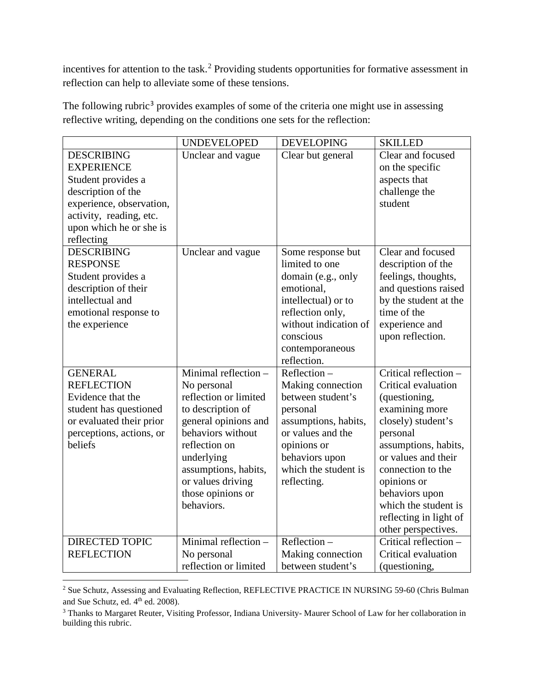incentives for attention to the task.<sup>[2](#page-2-0)</sup> Providing students opportunities for formative assessment in reflection can help to alleviate some of these tensions.

|                          | <b>UNDEVELOPED</b>    | <b>DEVELOPING</b>     | <b>SKILLED</b>         |
|--------------------------|-----------------------|-----------------------|------------------------|
| <b>DESCRIBING</b>        | Unclear and vague     | Clear but general     | Clear and focused      |
| <b>EXPERIENCE</b>        |                       |                       | on the specific        |
| Student provides a       |                       |                       | aspects that           |
| description of the       |                       |                       | challenge the          |
| experience, observation, |                       |                       | student                |
| activity, reading, etc.  |                       |                       |                        |
| upon which he or she is  |                       |                       |                        |
| reflecting               |                       |                       |                        |
| <b>DESCRIBING</b>        | Unclear and vague     | Some response but     | Clear and focused      |
| <b>RESPONSE</b>          |                       | limited to one        | description of the     |
| Student provides a       |                       | domain (e.g., only    | feelings, thoughts,    |
| description of their     |                       | emotional,            | and questions raised   |
| intellectual and         |                       | intellectual) or to   | by the student at the  |
| emotional response to    |                       | reflection only,      | time of the            |
| the experience           |                       | without indication of | experience and         |
|                          |                       | conscious             | upon reflection.       |
|                          |                       | contemporaneous       |                        |
|                          |                       | reflection.           |                        |
| <b>GENERAL</b>           | Minimal reflection -  | $Reflection -$        | Critical reflection -  |
| <b>REFLECTION</b>        | No personal           | Making connection     | Critical evaluation    |
| Evidence that the        | reflection or limited | between student's     | (questioning,          |
| student has questioned   | to description of     | personal              | examining more         |
| or evaluated their prior | general opinions and  | assumptions, habits,  | closely) student's     |
| perceptions, actions, or | behaviors without     | or values and the     | personal               |
| beliefs                  | reflection on         | opinions or           | assumptions, habits,   |
|                          | underlying            | behaviors upon        | or values and their    |
|                          | assumptions, habits,  | which the student is  | connection to the      |
|                          | or values driving     | reflecting.           | opinions or            |
|                          | those opinions or     |                       | behaviors upon         |
|                          | behaviors.            |                       | which the student is   |
|                          |                       |                       | reflecting in light of |
|                          |                       |                       | other perspectives.    |
| <b>DIRECTED TOPIC</b>    | Minimal reflection -  | Reflection-           | Critical reflection -  |
| <b>REFLECTION</b>        | No personal           | Making connection     | Critical evaluation    |
|                          | reflection or limited | between student's     | (questioning,          |

The following rubric<sup>[3](#page-2-1)</sup> provides examples of some of the criteria one might use in assessing reflective writing, depending on the conditions one sets for the reflection:

<span id="page-2-0"></span><sup>&</sup>lt;sup>2</sup> Sue Schutz, Assessing and Evaluating Reflection, REFLECTIVE PRACTICE IN NURSING 59-60 (Chris Bulman and Sue Schutz, ed. 4<sup>th</sup> ed. 2008).  $\overline{\phantom{a}}$ 

<span id="page-2-1"></span><sup>&</sup>lt;sup>3</sup> Thanks to Margaret Reuter, Visiting Professor, Indiana University- Maurer School of Law for her collaboration in building this rubric.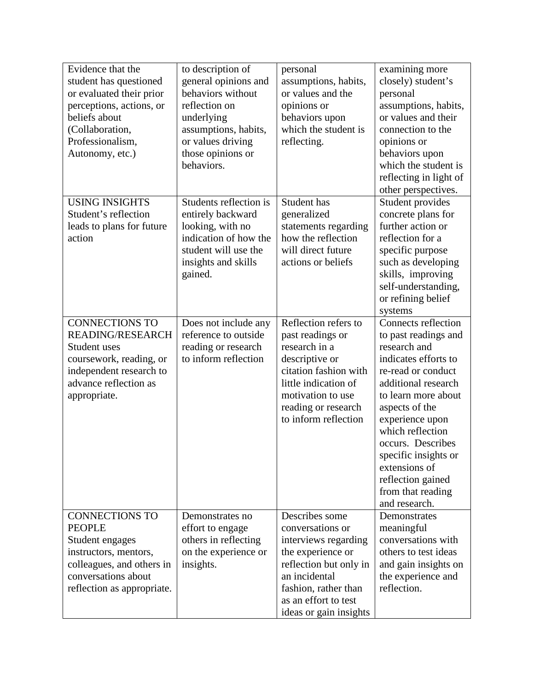| Evidence that the          | to description of      | personal                                     | examining more             |
|----------------------------|------------------------|----------------------------------------------|----------------------------|
| student has questioned     | general opinions and   | assumptions, habits,                         | closely) student's         |
| or evaluated their prior   | behaviors without      | or values and the                            | personal                   |
| perceptions, actions, or   | reflection on          | opinions or                                  | assumptions, habits,       |
| beliefs about              | underlying             | behaviors upon                               | or values and their        |
| (Collaboration,            | assumptions, habits,   | which the student is                         | connection to the          |
| Professionalism,           | or values driving      | reflecting.                                  | opinions or                |
| Autonomy, etc.)            | those opinions or      |                                              | behaviors upon             |
|                            | behaviors.             |                                              | which the student is       |
|                            |                        |                                              | reflecting in light of     |
|                            |                        |                                              | other perspectives.        |
| <b>USING INSIGHTS</b>      | Students reflection is | Student has                                  | Student provides           |
| Student's reflection       | entirely backward      | generalized                                  | concrete plans for         |
| leads to plans for future  | looking, with no       | statements regarding                         | further action or          |
| action                     | indication of how the  | how the reflection                           | reflection for a           |
|                            | student will use the   | will direct future                           | specific purpose           |
|                            | insights and skills    | actions or beliefs                           | such as developing         |
|                            | gained.                |                                              | skills, improving          |
|                            |                        |                                              | self-understanding,        |
|                            |                        |                                              | or refining belief         |
|                            |                        |                                              | systems                    |
| <b>CONNECTIONS TO</b>      | Does not include any   | Reflection refers to                         | <b>Connects reflection</b> |
| <b>READING/RESEARCH</b>    | reference to outside   | past readings or                             | to past readings and       |
| Student uses               | reading or research    | research in a                                | research and               |
| coursework, reading, or    | to inform reflection   | descriptive or                               | indicates efforts to       |
| independent research to    |                        | citation fashion with                        | re-read or conduct         |
| advance reflection as      |                        | little indication of                         | additional research        |
| appropriate.               |                        | motivation to use                            | to learn more about        |
|                            |                        | reading or research                          | aspects of the             |
|                            |                        | to inform reflection                         | experience upon            |
|                            |                        |                                              | which reflection           |
|                            |                        |                                              | occurs. Describes          |
|                            |                        |                                              | specific insights or       |
|                            |                        |                                              | extensions of              |
|                            |                        |                                              | reflection gained          |
|                            |                        |                                              | from that reading          |
|                            |                        |                                              | and research.              |
| <b>CONNECTIONS TO</b>      | Demonstrates no        | Describes some                               | Demonstrates               |
| <b>PEOPLE</b>              | effort to engage       | conversations or                             | meaningful                 |
| Student engages            | others in reflecting   | interviews regarding                         | conversations with         |
| instructors, mentors,      | on the experience or   | the experience or                            | others to test ideas       |
| colleagues, and others in  | insights.              | reflection but only in                       | and gain insights on       |
| conversations about        |                        |                                              |                            |
|                            |                        |                                              |                            |
|                            |                        | an incidental                                | the experience and         |
| reflection as appropriate. |                        | fashion, rather than<br>as an effort to test | reflection.                |